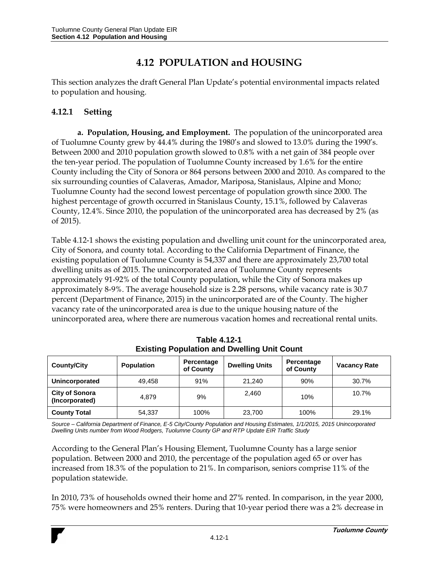# **4.12 POPULATION and HOUSING**

This section analyzes the draft General Plan Update's potential environmental impacts related to population and housing.

# **4.12.1 Setting**

**a. Population, Housing, and Employment.** The population of the unincorporated area of Tuolumne County grew by 44.4% during the 1980's and slowed to 13.0% during the 1990's. Between 2000 and 2010 population growth slowed to 0.8% with a net gain of 384 people over the ten-year period. The population of Tuolumne County increased by 1.6% for the entire County including the City of Sonora or 864 persons between 2000 and 2010. As compared to the six surrounding counties of Calaveras, Amador, Mariposa, Stanislaus, Alpine and Mono; Tuolumne County had the second lowest percentage of population growth since 2000. The highest percentage of growth occurred in Stanislaus County, 15.1%, followed by Calaveras County, 12.4%. Since 2010, the population of the unincorporated area has decreased by 2% (as of 2015).

Table 4.12-1 shows the existing population and dwelling unit count for the unincorporated area, City of Sonora, and county total. According to the California Department of Finance, the existing population of Tuolumne County is 54,337 and there are approximately 23,700 total dwelling units as of 2015. The unincorporated area of Tuolumne County represents approximately 91-92% of the total County population, while the City of Sonora makes up approximately 8-9%. The average household size is 2.28 persons, while vacancy rate is 30.7 percent (Department of Finance, 2015) in the unincorporated are of the County. The higher vacancy rate of the unincorporated area is due to the unique housing nature of the unincorporated area, where there are numerous vacation homes and recreational rental units.

| <b>County/City</b>                      | <b>Population</b> | Percentage<br>of County | <b>Dwelling Units</b> | Percentage<br>of County | <b>Vacancy Rate</b> |
|-----------------------------------------|-------------------|-------------------------|-----------------------|-------------------------|---------------------|
| Unincorporated                          | 49.458            | 91%                     | 21.240                | 90%                     | 30.7%               |
| <b>City of Sonora</b><br>(Incorporated) | 4.879             | 9%                      | 2.460                 | 10%                     | 10.7%               |
| <b>County Total</b>                     | 54,337            | 100%                    | 23,700                | 100%                    | 29.1%               |

**Table 4.12-1 Existing Population and Dwelling Unit Count**

*Source – California Department of Finance, E-5 City/County Population and Housing Estimates, 1/1/2015, 2015 Unincorporated Dwelling Units number from Wood Rodgers, Tuolumne County GP and RTP Update EIR Traffic Study*

According to the General Plan's Housing Element, Tuolumne County has a large senior population. Between 2000 and 2010, the percentage of the population aged 65 or over has increased from 18.3% of the population to 21%. In comparison, seniors comprise 11% of the population statewide.

In 2010, 73% of households owned their home and 27% rented. In comparison, in the year 2000, 75% were homeowners and 25% renters. During that 10-year period there was a 2% decrease in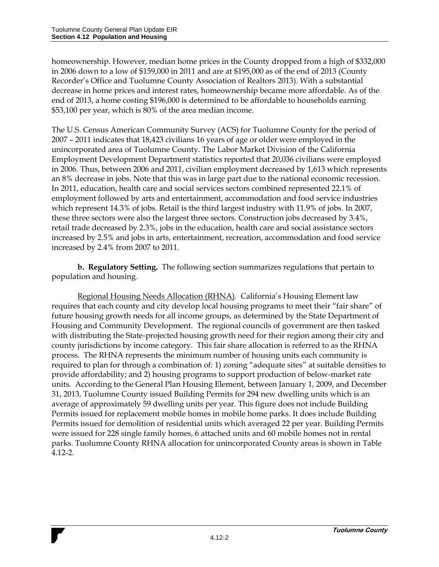homeownership. However, median home prices in the County dropped from a high of \$332,000 in 2006 down to a low of \$159,000 in 2011 and are at \$195,000 as of the end of 2013 (County Recorder's Office and Tuolumne County Association of Realtors 2013). With a substantial decrease in home prices and interest rates, homeownership became more affordable. As of the end of 2013, a home costing \$196,000 is determined to be affordable to households earning \$53,100 per year, which is 80% of the area median income.

The U.S. Census American Community Survey (ACS) for Tuolumne County for the period of 2007 – 2011 indicates that 18,423 civilians 16 years of age or older were employed in the unincorporated area of Tuolumne County. The Labor Market Division of the California Employment Development Department statistics reported that 20,036 civilians were employed in 2006. Thus, between 2006 and 2011, civilian employment decreased by 1,613 which represents an 8% decrease in jobs. Note that this was in large part due to the national economic recession. In 2011, education, health care and social services sectors combined represented 22.1% of employment followed by arts and entertainment, accommodation and food service industries which represent 14.3% of jobs. Retail is the third largest industry with 11.9% of jobs. In 2007, these three sectors were also the largest three sectors. Construction jobs decreased by 3.4%, retail trade decreased by 2.3%, jobs in the education, health care and social assistance sectors increased by 2.5% and jobs in arts, entertainment, recreation, accommodation and food service increased by 2.4% from 2007 to 2011.

**b. Regulatory Setting.** The following section summarizes regulations that pertain to population and housing.

Regional Housing Needs Allocation (RHNA). California's Housing Element law requires that each county and city develop local housing programs to meet their "fair share" of future housing growth needs for all income groups, as determined by the State Department of Housing and Community Development. The regional councils of government are then tasked with distributing the State-projected housing growth need for their region among their city and county jurisdictions by income category. This fair share allocation is referred to as the RHNA process. The RHNA represents the minimum number of housing units each community is required to plan for through a combination of: 1) zoning "adequate sites" at suitable densities to provide affordability; and 2) housing programs to support production of below-market rate units. According to the General Plan Housing Element, between January 1, 2009, and December 31, 2013, Tuolumne County issued Building Permits for 294 new dwelling units which is an average of approximately 59 dwelling units per year. This figure does not include Building Permits issued for replacement mobile homes in mobile home parks. It does include Building Permits issued for demolition of residential units which averaged 22 per year. Building Permits were issued for 228 single family homes, 6 attached units and 60 mobile homes not in rental parks. Tuolumne County RHNA allocation for unincorporated County areas is shown in Table 4.12-2.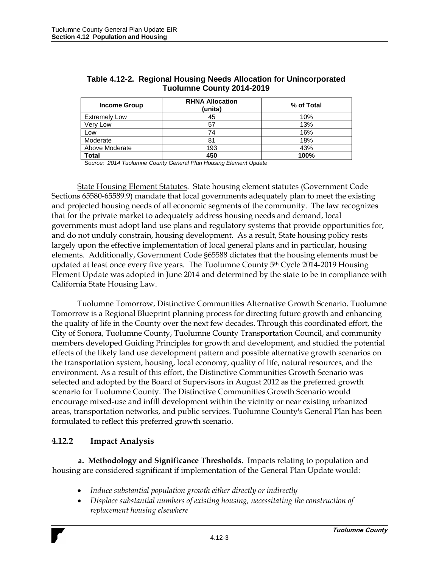| <b>Income Group</b>  | <b>RHNA Allocation</b><br>(units) | % of Total |
|----------------------|-----------------------------------|------------|
| <b>Extremely Low</b> | 45                                | 10%        |
| Very Low             | 57                                | 13%        |
| Low                  | 74                                | 16%        |
| Moderate             | 81                                | 18%        |
| Above Moderate       | 193                               | 43%        |
| <b>Total</b>         | 450                               | 100%       |

#### **Table 4.12-2. Regional Housing Needs Allocation for Unincorporated Tuolumne County 2014-2019**

*Source: 2014 Tuolumne County General Plan Housing Element Update*

State Housing Element Statutes. State housing element statutes (Government Code Sections 65580-65589.9) mandate that local governments adequately plan to meet the existing and projected housing needs of all economic segments of the community. The law recognizes that for the private market to adequately address housing needs and demand, local governments must adopt land use plans and regulatory systems that provide opportunities for, and do not unduly constrain, housing development. As a result, State housing policy rests largely upon the effective implementation of local general plans and in particular, housing elements. Additionally, Government Code §65588 dictates that the housing elements must be updated at least once every five years. The Tuolumne County 5<sup>th</sup> Cycle 2014-2019 Housing Element Update was adopted in June 2014 and determined by the state to be in compliance with California State Housing Law.

Tuolumne Tomorrow, Distinctive Communities Alternative Growth Scenario. Tuolumne Tomorrow is a Regional Blueprint planning process for directing future growth and enhancing the quality of life in the County over the next few decades. Through this coordinated effort, the City of Sonora, Tuolumne County, Tuolumne County Transportation Council, and community members developed Guiding Principles for growth and development, and studied the potential effects of the likely land use development pattern and possible alternative growth scenarios on the transportation system, housing, local economy, quality of life, natural resources, and the environment. As a result of this effort, the Distinctive Communities Growth Scenario was selected and adopted by the Board of Supervisors in August 2012 as the preferred growth scenario for Tuolumne County. The Distinctive Communities Growth Scenario would encourage mixed-use and infill development within the vicinity or near existing urbanized areas, transportation networks, and public services. Tuolumne County's General Plan has been formulated to reflect this preferred growth scenario.

## **4.12.2 Impact Analysis**

**a. Methodology and Significance Thresholds.** Impacts relating to population and housing are considered significant if implementation of the General Plan Update would:

- *Induce substantial population growth either directly or indirectly*
- *Displace substantial numbers of existing housing, necessitating the construction of replacement housing elsewhere*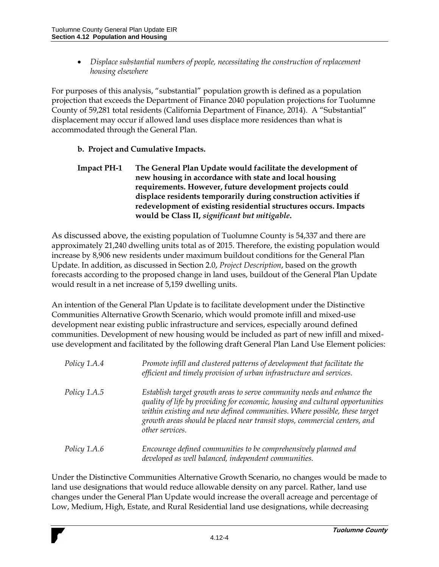*Displace substantial numbers of people, necessitating the construction of replacement housing elsewhere*

For purposes of this analysis, "substantial" population growth is defined as a population projection that exceeds the Department of Finance 2040 population projections for Tuolumne County of 59,281 total residents (California Department of Finance, 2014). A "Substantial" displacement may occur if allowed land uses displace more residences than what is accommodated through the General Plan.

### **b. Project and Cumulative Impacts.**

**Impact PH-1 The General Plan Update would facilitate the development of new housing in accordance with state and local housing requirements. However, future development projects could displace residents temporarily during construction activities if redevelopment of existing residential structures occurs. Impacts would be Class II,** *significant but mitigable***.**

As discussed above, the existing population of Tuolumne County is 54,337 and there are approximately 21,240 dwelling units total as of 2015. Therefore, the existing population would increase by 8,906 new residents under maximum buildout conditions for the General Plan Update. In addition, as discussed in Section 2.0, *Project Description*, based on the growth forecasts according to the proposed change in land uses, buildout of the General Plan Update would result in a net increase of 5,159 dwelling units.

An intention of the General Plan Update is to facilitate development under the Distinctive Communities Alternative Growth Scenario, which would promote infill and mixed-use development near existing public infrastructure and services, especially around defined communities. Development of new housing would be included as part of new infill and mixeduse development and facilitated by the following draft General Plan Land Use Element policies:

| Policy 1.A.4        | Promote infill and clustered patterns of development that facilitate the<br>efficient and timely provision of urban infrastructure and services.                                                                                                                                                                                     |
|---------------------|--------------------------------------------------------------------------------------------------------------------------------------------------------------------------------------------------------------------------------------------------------------------------------------------------------------------------------------|
| <i>Policy 1.A.5</i> | Establish target growth areas to serve community needs and enhance the<br>quality of life by providing for economic, housing and cultural opportunities<br>within existing and new defined communities. Where possible, these target<br>growth areas should be placed near transit stops, commercial centers, and<br>other services. |
| <i>Policy 1.A.6</i> | Encourage defined communities to be comprehensively planned and<br>developed as well balanced, independent communities.                                                                                                                                                                                                              |

Under the Distinctive Communities Alternative Growth Scenario, no changes would be made to land use designations that would reduce allowable density on any parcel. Rather, land use changes under the General Plan Update would increase the overall acreage and percentage of Low, Medium, High, Estate, and Rural Residential land use designations, while decreasing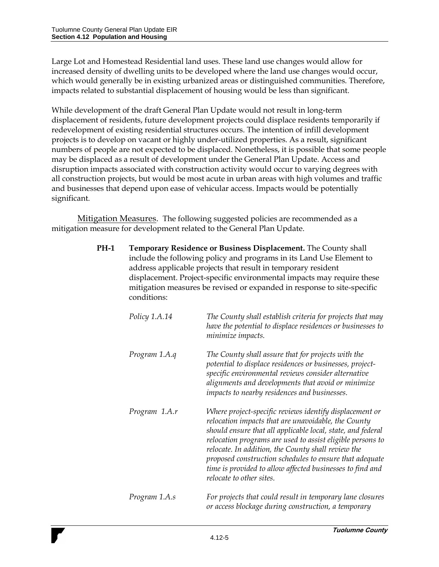Large Lot and Homestead Residential land uses. These land use changes would allow for increased density of dwelling units to be developed where the land use changes would occur, which would generally be in existing urbanized areas or distinguished communities. Therefore, impacts related to substantial displacement of housing would be less than significant.

While development of the draft General Plan Update would not result in long-term displacement of residents, future development projects could displace residents temporarily if redevelopment of existing residential structures occurs. The intention of infill development projects is to develop on vacant or highly under-utilized properties. As a result, significant numbers of people are not expected to be displaced. Nonetheless, it is possible that some people may be displaced as a result of development under the General Plan Update. Access and disruption impacts associated with construction activity would occur to varying degrees with all construction projects, but would be most acute in urban areas with high volumes and traffic and businesses that depend upon ease of vehicular access. Impacts would be potentially significant.

Mitigation Measures. The following suggested policies are recommended as a mitigation measure for development related to the General Plan Update.

> **PH-1 Temporary Residence or Business Displacement.** The County shall include the following policy and programs in its Land Use Element to address applicable projects that result in temporary resident displacement. Project-specific environmental impacts may require these mitigation measures be revised or expanded in response to site-specific conditions:

| Policy 1.A.14 | The County shall establish criteria for projects that may<br>have the potential to displace residences or businesses to<br>minimize impacts.                                                                                                                                                                                                                                                                                                          |
|---------------|-------------------------------------------------------------------------------------------------------------------------------------------------------------------------------------------------------------------------------------------------------------------------------------------------------------------------------------------------------------------------------------------------------------------------------------------------------|
| Program 1.A.q | The County shall assure that for projects with the<br>potential to displace residences or businesses, project-<br>specific environmental reviews consider alternative<br>alignments and developments that avoid or minimize<br>impacts to nearby residences and businesses.                                                                                                                                                                           |
| Program 1.A.r | Where project-specific reviews identify displacement or<br>relocation impacts that are unavoidable, the County<br>should ensure that all applicable local, state, and federal<br>relocation programs are used to assist eligible persons to<br>relocate. In addition, the County shall review the<br>proposed construction schedules to ensure that adequate<br>time is provided to allow affected businesses to find and<br>relocate to other sites. |
| Program 1.A.s | For projects that could result in temporary lane closures<br>or access blockage during construction, a temporary                                                                                                                                                                                                                                                                                                                                      |